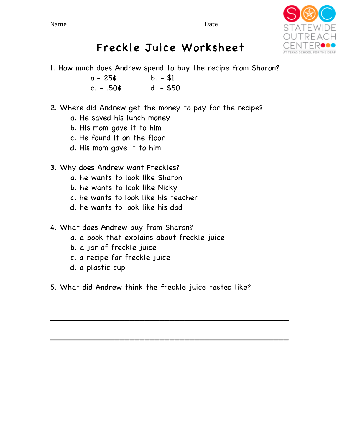

## Freckle Juice Worksheet

- 1. How much does Andrew spend to buy the recipe from Sharon?
	- $a 254$  b.  $-$ \$1  $c. - .504$  d.  $-$  \$50
- 2. Where did Andrew get the money to pay for the recipe?
	- a. He saved his lunch money
	- b. His mom gave it to him
	- c. He found it on the floor
	- d. His mom gave it to him
- 3. Why does Andrew want Freckles?
	- a. he wants to look like Sharon
	- b. he wants to look like Nicky
	- c. he wants to look like his teacher
	- d. he wants to look like his dad
- 4. What does Andrew buy from Sharon?
	- a. a book that explains about freckle juice
	- b. a jar of freckle juice
	- c. a recipe for freckle juice
	- d. a plastic cup
- 5. What did Andrew think the freckle juice tasted like?

\_\_\_\_\_\_\_\_\_\_\_\_\_\_\_\_\_\_\_\_\_\_\_\_\_\_\_\_\_\_\_\_\_\_\_\_\_\_\_\_\_\_\_\_\_\_\_\_

\_\_\_\_\_\_\_\_\_\_\_\_\_\_\_\_\_\_\_\_\_\_\_\_\_\_\_\_\_\_\_\_\_\_\_\_\_\_\_\_\_\_\_\_\_\_\_\_